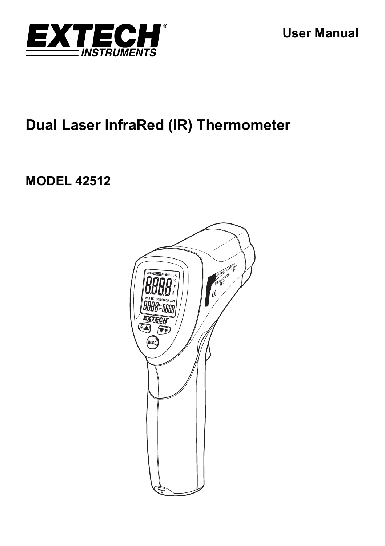

# **Dual Laser InfraRed (IR) Thermometer**

# **MODEL 42512**

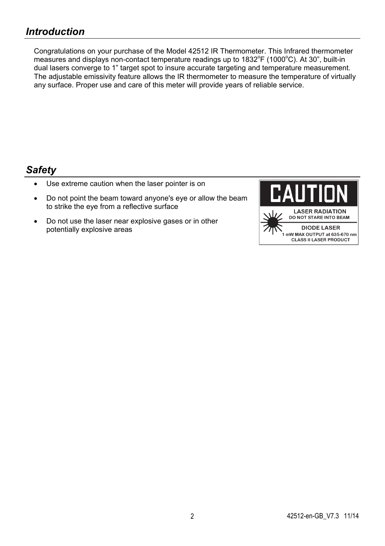Congratulations on your purchase of the Model 42512 IR Thermometer. This Infrared thermometer measures and displays non-contact temperature readings up to 1832°F (1000°C). At 30", built-in dual lasers converge to 1" target spot to insure accurate targeting and temperature measurement. The adjustable emissivity feature allows the IR thermometer to measure the temperature of virtually any surface. Proper use and care of this meter will provide years of reliable service.

# *Safety*

- Use extreme caution when the laser pointer is on
- Do not point the beam toward anyone's eye or allow the beam to strike the eye from a reflective surface
- Do not use the laser near explosive gases or in other potentially explosive areas

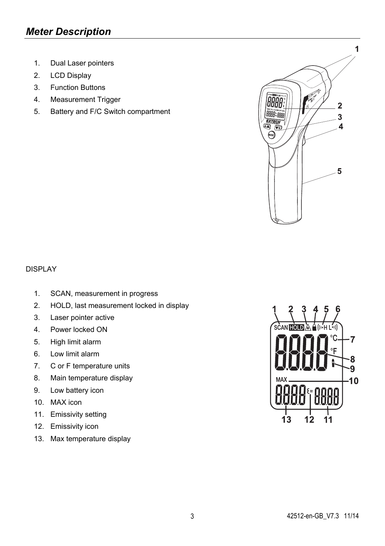- 1. Dual Laser pointers
- 2. LCD Display
- 3. Function Buttons
- 4. Measurement Trigger
- 5. Battery and F/C Switch compartment



### DISPLAY

- 1. SCAN, measurement in progress
- 2. HOLD, last measurement locked in display
- 3. Laser pointer active
- 4. Power locked ON
- 5. High limit alarm
- 6. Low limit alarm
- 7. C or F temperature units
- 8. Main temperature display
- 9. Low battery icon
- 10. MAX icon
- 11. Emissivity setting
- 12. Emissivity icon
- 13. Max temperature display

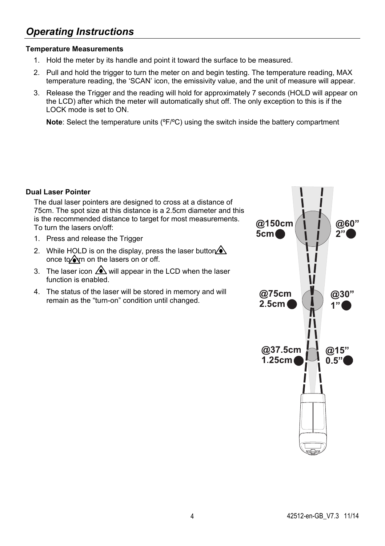# *Operating Instructions*

### **Temperature Measurements**

- 1. Hold the meter by its handle and point it toward the surface to be measured.
- 2. Pull and hold the trigger to turn the meter on and begin testing. The temperature reading, MAX temperature reading, the 'SCAN' icon, the emissivity value, and the unit of measure will appear.
- 3. Release the Trigger and the reading will hold for approximately 7 seconds (HOLD will appear on the LCD) after which the meter will automatically shut off. The only exception to this is if the LOCK mode is set to ON.

**Note**: Select the temperature units ( ${}^{\circ}F/{}^{\circ}C$ ) using the switch inside the battery compartment

### **Dual Laser Pointer**

The dual laser pointers are designed to cross at a distance of 75cm. The spot size at this distance is a 2.5cm diameter and this is the recommended distance to target for most measurements. To turn the lasers on/off:

- 1. Press and release the Trigger
- 2. While HOLD is on the display, press the laser button  $\Diamond$ once to  $\Diamond$ yn on the lasers on or off.
- 3. The laser icon  $\bigwedge$  will appear in the LCD when the laser function is enabled.
- 4. The status of the laser will be stored in memory and will remain as the "turn-on" condition until changed.

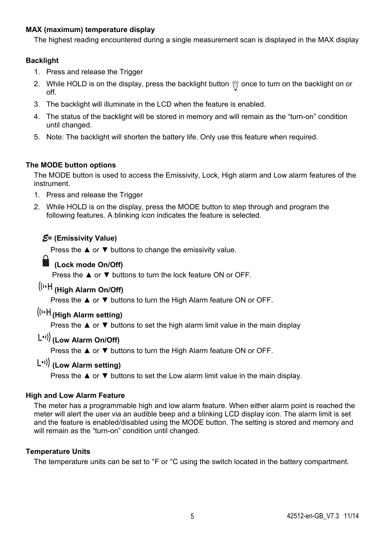### **MAX (maximum) temperature display**

The highest reading encountered during a single measurement scan is displayed in the MAX display

### **Backlight**

- 1. Press and release the Trigger
- 2. While HOLD is on the display, press the backlight button  $\%$  once to turn on the backlight on or off.
- 3. The backlight will illuminate in the LCD when the feature is enabled.
- 4. The status of the backlight will be stored in memory and will remain as the "turn-on" condition until changed.
- 5. Note: The backlight will shorten the battery life. Only use this feature when required.

### **The MODE button options**

The MODE button is used to access the Emissivity, Lock, High alarm and Low alarm features of the instrument.

- 1. Press and release the Trigger
- 2. While HOLD is on the display, press the MODE button to step through and program the following features. A blinking icon indicates the feature is selected.

### *E***= (Emissivity Value)**

Press the ▲ or ▼ buttons to change the emissivity value.

### **(Lock mode On/Off)**

Press the ▲ or ▼ buttons to turn the lock feature ON or OFF.

# **(High Alarm On/Off)**

Press the ▲ or ▼ buttons to turn the High Alarm feature ON or OFF.

## **(High Alarm setting)**

Press the ▲ or ▼ buttons to set the high alarm limit value in the main display

### **(Low Alarm On/Off)**

Press the **▲** or ▼ buttons to turn the High Alarm feature ON or OFF.

## **(Low Alarm setting)**

Press the  $\blacktriangle$  or  $\nabla$  buttons to set the Low alarm limit value in the main display.

### **High and Low Alarm Feature**

The meter has a programmable high and low alarm feature. When either alarm point is reached the meter will alert the user via an audible beep and a blinking LCD display icon. The alarm limit is set and the feature is enabled/disabled using the MODE button. The setting is stored and memory and will remain as the "turn-on" condition until changed.

### **Temperature Units**

The temperature units can be set to °F or °C using the switch located in the battery compartment.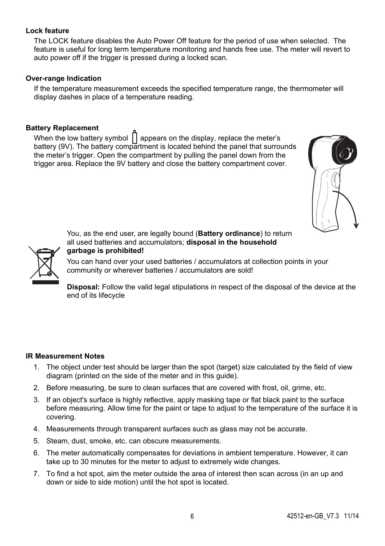### **Lock feature**

The LOCK feature disables the Auto Power Off feature for the period of use when selected. The feature is useful for long term temperature monitoring and hands free use. The meter will revert to auto power off if the trigger is pressed during a locked scan.

#### **Over-range Indication**

If the temperature measurement exceeds the specified temperature range, the thermometer will display dashes in place of a temperature reading.

### **Battery Replacement**

When the low battery symbol  $||$  appears on the display, replace the meter's battery (9V). The battery compartment is located behind the panel that surrounds the meter's trigger. Open the compartment by pulling the panel down from the trigger area. Replace the 9V battery and close the battery compartment cover.





You, as the end user, are legally bound (**Battery ordinance**) to return all used batteries and accumulators; **disposal in the household garbage is prohibited!**

You can hand over your used batteries / accumulators at collection points in your community or wherever batteries / accumulators are sold!

**Disposal:** Follow the valid legal stipulations in respect of the disposal of the device at the end of its lifecycle

#### **IR Measurement Notes**

- 1. The object under test should be larger than the spot (target) size calculated by the field of view diagram (printed on the side of the meter and in this guide).
- 2. Before measuring, be sure to clean surfaces that are covered with frost, oil, grime, etc.
- 3. If an object's surface is highly reflective, apply masking tape or flat black paint to the surface before measuring. Allow time for the paint or tape to adjust to the temperature of the surface it is covering.
- 4. Measurements through transparent surfaces such as glass may not be accurate.
- 5. Steam, dust, smoke, etc. can obscure measurements.
- 6. The meter automatically compensates for deviations in ambient temperature. However, it can take up to 30 minutes for the meter to adjust to extremely wide changes.
- 7. To find a hot spot, aim the meter outside the area of interest then scan across (in an up and down or side to side motion) until the hot spot is located.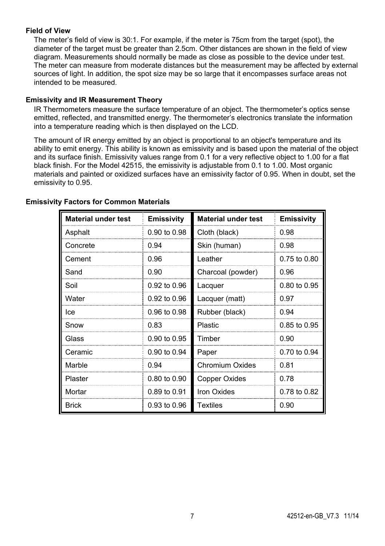#### **Field of View**

The meter's field of view is 30:1. For example, if the meter is 75cm from the target (spot), the diameter of the target must be greater than 2.5cm. Other distances are shown in the field of view diagram. Measurements should normally be made as close as possible to the device under test. The meter can measure from moderate distances but the measurement may be affected by external sources of light. In addition, the spot size may be so large that it encompasses surface areas not intended to be measured.

#### **Emissivity and IR Measurement Theory**

IR Thermometers measure the surface temperature of an object. The thermometer's optics sense emitted, reflected, and transmitted energy. The thermometer's electronics translate the information into a temperature reading which is then displayed on the LCD.

The amount of IR energy emitted by an object is proportional to an object's temperature and its ability to emit energy. This ability is known as emissivity and is based upon the material of the object and its surface finish. Emissivity values range from 0.1 for a very reflective object to 1.00 for a flat black finish. For the Model 42515, the emissivity is adjustable from 0.1 to 1.00. Most organic materials and painted or oxidized surfaces have an emissivity factor of 0.95. When in doubt, set the emissivity to 0.95.

| <b>Material under test</b> | <b>Emissivity</b> | <b>Material under test</b> | <b>Emissivity</b> |
|----------------------------|-------------------|----------------------------|-------------------|
| Asphalt                    | 0.90 to 0.98      | Cloth (black)              | 0.98              |
| Concrete                   | 0.94              | Skin (human)               | 0.98              |
| Cement                     | 0.96              | Leather                    | $0.75$ to $0.80$  |
| Sand                       | 0.90              | Charcoal (powder)          | 0.96              |
| Soil                       | 0.92 to 0.96      | Lacquer                    | 0.80 to 0.95      |
| Water                      | 0.92 to 0.96      | Lacquer (matt)             | 0.97              |
| lce.                       | 0.96 to 0.98      | Rubber (black)             | 0.94              |
| Snow                       | 0 83              | Plastic                    | 0.85 to 0.95      |
| Glass                      | 0.90 to 0.95      | Timber                     | 0.90              |
| Ceramic                    | 0.90 to 0.94      | Paper                      | 0.70 to 0.94      |
| Marble                     | 0.94              | <b>Chromium Oxides</b>     | 0.81              |
| Plaster                    | 0.80 to 0.90      | Copper Oxides              | 0.78              |
| Mortar                     | 0.89 to 0.91      | <b>Iron Oxides</b>         | 0.78 to 0.82      |
| <b>Brick</b>               | 0.93 to 0.96      | <b>Textiles</b>            | 0.90              |

#### **Emissivity Factors for Common Materials**